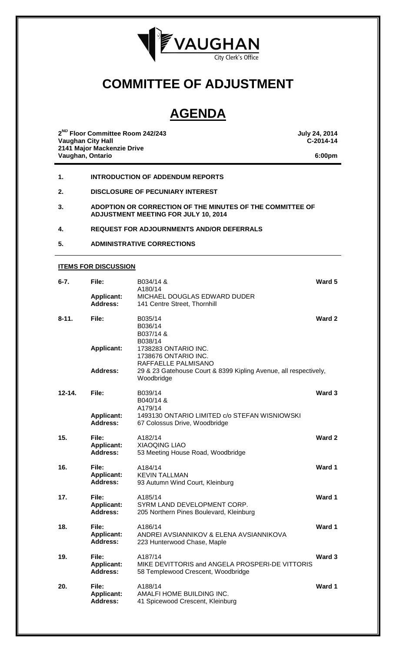

# **COMMITTEE OF ADJUSTMENT**

# **AGENDA**

**2ND Floor Committee Room 242/243 July 24, 2014 Vaughan City Hall 2141 Major Mackenzie Drive Vaughan, Ontario 6:00pm**

- **1. INTRODUCTION OF ADDENDUM REPORTS**
- **2. DISCLOSURE OF PECUNIARY INTEREST**
- **3. ADOPTION OR CORRECTION OF THE MINUTES OF THE COMMITTEE OF ADJUSTMENT MEETING FOR JULY 10, 2014**

### **4. REQUEST FOR ADJOURNMENTS AND/OR DEFERRALS**

**5. ADMINISTRATIVE CORRECTIONS**

#### **ITEMS FOR DISCUSSION**

| $6 - 7.$   | File:                                         | B034/14 &<br>A180/14                                                                             | Ward 5 |
|------------|-----------------------------------------------|--------------------------------------------------------------------------------------------------|--------|
|            | <b>Applicant:</b><br><b>Address:</b>          | <b>MICHAEL DOUGLAS EDWARD DUDER</b><br>141 Centre Street, Thornhill                              |        |
| $8 - 11.$  | File:                                         | B035/14<br>B036/14<br>B037/14 &                                                                  | Ward 2 |
|            | <b>Applicant:</b>                             | B038/14<br>1738283 ONTARIO INC.<br>1738676 ONTARIO INC.<br>RAFFAELLE PALMISANO                   |        |
|            | Address:                                      | 29 & 23 Gatehouse Court & 8399 Kipling Avenue, all respectively,<br>Woodbridge                   |        |
| $12 - 14.$ | File:                                         | B039/14<br>B040/14 &                                                                             | Ward 3 |
|            | <b>Applicant:</b><br>Address:                 | A179/14<br>1493130 ONTARIO LIMITED c/o STEFAN WISNIOWSKI<br>67 Colossus Drive, Woodbridge        |        |
| 15.        | File:<br><b>Applicant:</b><br><b>Address:</b> | A182/14<br><b>XIAOQING LIAO</b><br>53 Meeting House Road, Woodbridge                             | Ward 2 |
| 16.        | File:<br><b>Applicant:</b><br><b>Address:</b> | A184/14<br><b>KEVIN TALLMAN</b><br>93 Autumn Wind Court, Kleinburg                               | Ward 1 |
| 17.        | File:<br><b>Applicant:</b><br>Address:        | A185/14<br>SYRM LAND DEVELOPMENT CORP.<br>205 Northern Pines Boulevard, Kleinburg                | Ward 1 |
| 18.        | File:<br><b>Applicant:</b><br><b>Address:</b> | A186/14<br>ANDREI AVSIANNIKOV & ELENA AVSIANNIKOVA<br>223 Hunterwood Chase, Maple                | Ward 1 |
| 19.        | File:<br><b>Applicant:</b><br>Address:        | A187/14<br>MIKE DEVITTORIS and ANGELA PROSPERI-DE VITTORIS<br>58 Templewood Crescent, Woodbridge | Ward 3 |
| 20.        | File:<br><b>Applicant:</b><br><b>Address:</b> | A188/14<br>AMALFI HOME BUILDING INC.<br>41 Spicewood Crescent, Kleinburg                         | Ward 1 |